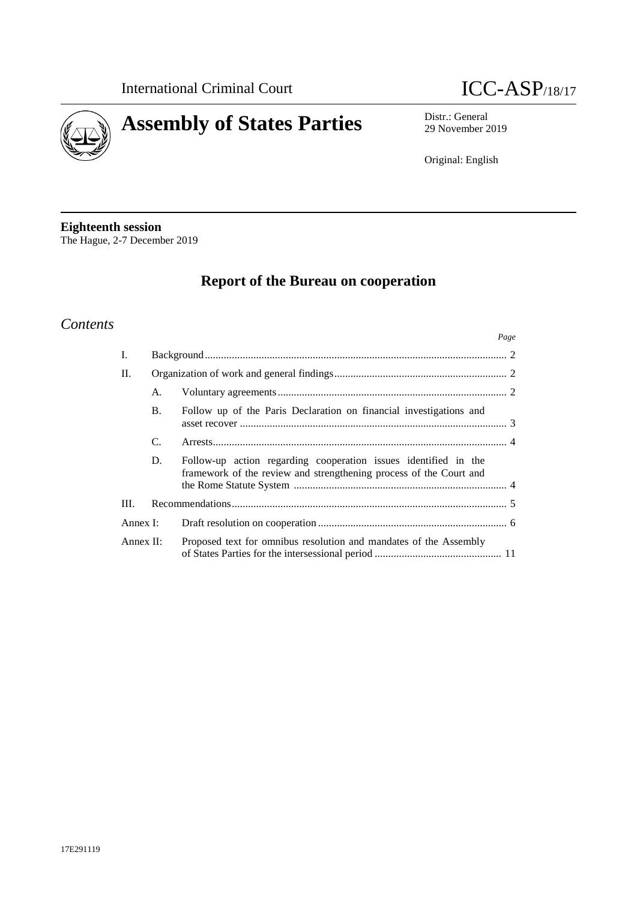



29 November 2019

Original: English

**Eighteenth session** The Hague, 2-7 December 2019

# **Report of the Bureau on cooperation**

# *Contents*

|               |           | Page                                                                                                                                  |  |
|---------------|-----------|---------------------------------------------------------------------------------------------------------------------------------------|--|
| I.            |           |                                                                                                                                       |  |
| H.            |           |                                                                                                                                       |  |
|               | А.        |                                                                                                                                       |  |
|               | <b>B.</b> | Follow up of the Paris Declaration on financial investigations and                                                                    |  |
|               | C.        |                                                                                                                                       |  |
|               | D.        | Follow-up action regarding cooperation issues identified in the<br>framework of the review and strengthening process of the Court and |  |
| III.          |           |                                                                                                                                       |  |
| Annex I:      |           |                                                                                                                                       |  |
| Annex $\Pi$ : |           | Proposed text for omnibus resolution and mandates of the Assembly                                                                     |  |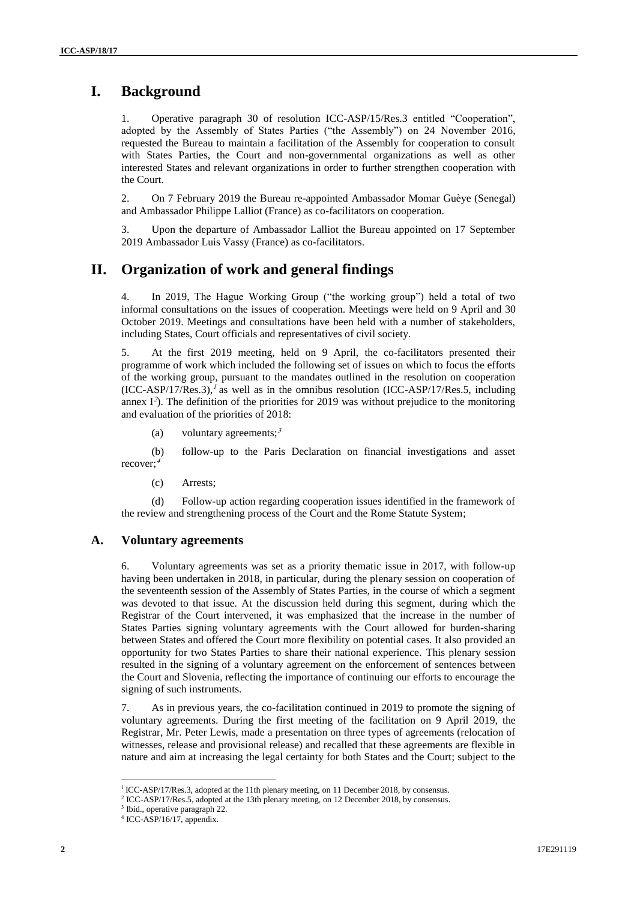# **I. Background**

1. Operative paragraph 30 of resolution ICC-ASP/15/Res.3 entitled "Cooperation", adopted by the Assembly of States Parties ("the Assembly") on 24 November 2016, requested the Bureau to maintain a facilitation of the Assembly for cooperation to consult with States Parties, the Court and non-governmental organizations as well as other interested States and relevant organizations in order to further strengthen cooperation with the Court.

2. On 7 February 2019 the Bureau re-appointed Ambassador Momar Guèye (Senegal) and Ambassador Philippe Lalliot (France) as co-facilitators on cooperation.

3. Upon the departure of Ambassador Lalliot the Bureau appointed on 17 September 2019 Ambassador Luis Vassy (France) as co-facilitators.

# **II. Organization of work and general findings**

4. In 2019, The Hague Working Group ("the working group") held a total of two informal consultations on the issues of cooperation. Meetings were held on 9 April and 30 October 2019. Meetings and consultations have been held with a number of stakeholders, including States, Court officials and representatives of civil society.

5. At the first 2019 meeting, held on 9 April, the co-facilitators presented their programme of work which included the following set of issues on which to focus the efforts of the working group, pursuant to the mandates outlined in the resolution on cooperation  $(ICC-ASP/17/Res.3)$ ,<sup>1</sup> as well as in the omnibus resolution  $(ICC-ASP/17/Res.5)$ , including annex  $I^2$ ). The definition of the priorities for 2019 was without prejudice to the monitoring and evaluation of the priorities of 2018:

(a) voluntary agreements;<sup>3</sup>

(b) follow-up to the Paris Declaration on financial investigations and asset recover;<sup>4</sup>

(c) Arrests;

(d) Follow-up action regarding cooperation issues identified in the framework of the review and strengthening process of the Court and the Rome Statute System;

#### **A. Voluntary agreements**

6. Voluntary agreements was set as a priority thematic issue in 2017, with follow-up having been undertaken in 2018, in particular, during the plenary session on cooperation of the seventeenth session of the Assembly of States Parties, in the course of which a segment was devoted to that issue. At the discussion held during this segment, during which the Registrar of the Court intervened, it was emphasized that the increase in the number of States Parties signing voluntary agreements with the Court allowed for burden-sharing between States and offered the Court more flexibility on potential cases. It also provided an opportunity for two States Parties to share their national experience. This plenary session resulted in the signing of a voluntary agreement on the enforcement of sentences between the Court and Slovenia, reflecting the importance of continuing our efforts to encourage the signing of such instruments.

7. As in previous years, the co-facilitation continued in 2019 to promote the signing of voluntary agreements. During the first meeting of the facilitation on 9 April 2019, the Registrar, Mr. Peter Lewis, made a presentation on three types of agreements (relocation of witnesses, release and provisional release) and recalled that these agreements are flexible in nature and aim at increasing the legal certainty for both States and the Court; subject to the

 $\overline{a}$ 

<sup>&</sup>lt;sup>1</sup> ICC-ASP/17/Res.3, adopted at the 11th plenary meeting, on 11 December 2018, by consensus.

<sup>&</sup>lt;sup>2</sup> ICC-ASP/17/Res.5, adopted at the 13th plenary meeting, on 12 December 2018, by consensus.

<sup>&</sup>lt;sup>3</sup> Ibid., operative paragraph 22.

<sup>4</sup> ICC-ASP/16/17, appendix.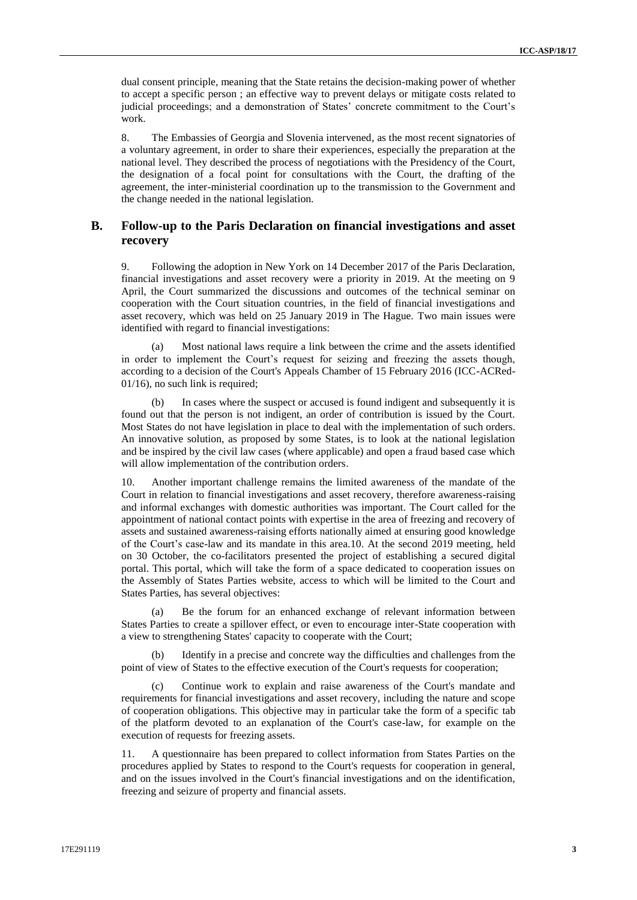dual consent principle, meaning that the State retains the decision-making power of whether to accept a specific person ; an effective way to prevent delays or mitigate costs related to judicial proceedings; and a demonstration of States' concrete commitment to the Court's work.

8. The Embassies of Georgia and Slovenia intervened, as the most recent signatories of a voluntary agreement, in order to share their experiences, especially the preparation at the national level. They described the process of negotiations with the Presidency of the Court, the designation of a focal point for consultations with the Court, the drafting of the agreement, the inter-ministerial coordination up to the transmission to the Government and the change needed in the national legislation.

#### **B. Follow-up to the Paris Declaration on financial investigations and asset recovery**

9. Following the adoption in New York on 14 December 2017 of the Paris Declaration, financial investigations and asset recovery were a priority in 2019. At the meeting on 9 April, the Court summarized the discussions and outcomes of the technical seminar on cooperation with the Court situation countries, in the field of financial investigations and asset recovery, which was held on 25 January 2019 in The Hague. Two main issues were identified with regard to financial investigations:

(a) Most national laws require a link between the crime and the assets identified in order to implement the Court's request for seizing and freezing the assets though, according to a decision of the Court's Appeals Chamber of 15 February 2016 (ICC-ACRed-01/16), no such link is required;

(b) In cases where the suspect or accused is found indigent and subsequently it is found out that the person is not indigent, an order of contribution is issued by the Court. Most States do not have legislation in place to deal with the implementation of such orders. An innovative solution, as proposed by some States, is to look at the national legislation and be inspired by the civil law cases (where applicable) and open a fraud based case which will allow implementation of the contribution orders.

10. Another important challenge remains the limited awareness of the mandate of the Court in relation to financial investigations and asset recovery, therefore awareness-raising and informal exchanges with domestic authorities was important. The Court called for the appointment of national contact points with expertise in the area of freezing and recovery of assets and sustained awareness-raising efforts nationally aimed at ensuring good knowledge of the Court's case-law and its mandate in this area.10. At the second 2019 meeting, held on 30 October, the co-facilitators presented the project of establishing a secured digital portal. This portal, which will take the form of a space dedicated to cooperation issues on the Assembly of States Parties website, access to which will be limited to the Court and States Parties, has several objectives:

(a) Be the forum for an enhanced exchange of relevant information between States Parties to create a spillover effect, or even to encourage inter-State cooperation with a view to strengthening States' capacity to cooperate with the Court;

(b) Identify in a precise and concrete way the difficulties and challenges from the point of view of States to the effective execution of the Court's requests for cooperation;

(c) Continue work to explain and raise awareness of the Court's mandate and requirements for financial investigations and asset recovery, including the nature and scope of cooperation obligations. This objective may in particular take the form of a specific tab of the platform devoted to an explanation of the Court's case-law, for example on the execution of requests for freezing assets.

11. A questionnaire has been prepared to collect information from States Parties on the procedures applied by States to respond to the Court's requests for cooperation in general, and on the issues involved in the Court's financial investigations and on the identification, freezing and seizure of property and financial assets.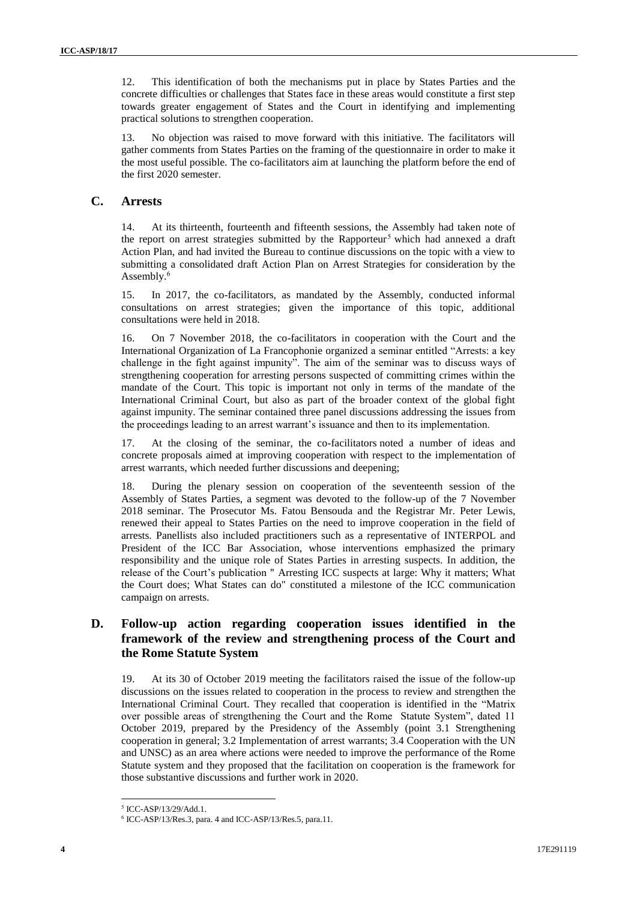12. This identification of both the mechanisms put in place by States Parties and the concrete difficulties or challenges that States face in these areas would constitute a first step towards greater engagement of States and the Court in identifying and implementing practical solutions to strengthen cooperation.

13. No objection was raised to move forward with this initiative. The facilitators will gather comments from States Parties on the framing of the questionnaire in order to make it the most useful possible. The co-facilitators aim at launching the platform before the end of the first 2020 semester.

#### **C. Arrests**

14. At its thirteenth, fourteenth and fifteenth sessions, the Assembly had taken note of the report on arrest strategies submitted by the Rapporteur<sup>5</sup> which had annexed a draft Action Plan, and had invited the Bureau to continue discussions on the topic with a view to submitting a consolidated draft Action Plan on Arrest Strategies for consideration by the Assembly.<sup>6</sup>

15. In 2017, the co-facilitators, as mandated by the Assembly, conducted informal consultations on arrest strategies; given the importance of this topic, additional consultations were held in 2018.

16. On 7 November 2018, the co-facilitators in cooperation with the Court and the International Organization of La Francophonie organized a seminar entitled "Arrests: a key challenge in the fight against impunity". The aim of the seminar was to discuss ways of strengthening cooperation for arresting persons suspected of committing crimes within the mandate of the Court. This topic is important not only in terms of the mandate of the International Criminal Court, but also as part of the broader context of the global fight against impunity. The seminar contained three panel discussions addressing the issues from the proceedings leading to an arrest warrant's issuance and then to its implementation.

17. At the closing of the seminar, the co-facilitators noted a number of ideas and concrete proposals aimed at improving cooperation with respect to the implementation of arrest warrants, which needed further discussions and deepening;

18. During the plenary session on cooperation of the seventeenth session of the Assembly of States Parties, a segment was devoted to the follow-up of the 7 November 2018 seminar. The Prosecutor Ms. Fatou Bensouda and the Registrar Mr. Peter Lewis, renewed their appeal to States Parties on the need to improve cooperation in the field of arrests. Panellists also included practitioners such as a representative of INTERPOL and President of the ICC Bar Association, whose interventions emphasized the primary responsibility and the unique role of States Parties in arresting suspects. In addition, the release of the Court's publication " Arresting ICC suspects at large: Why it matters; What the Court does; What States can do" constituted a milestone of the ICC communication campaign on arrests.

#### **D. Follow-up action regarding cooperation issues identified in the framework of the review and strengthening process of the Court and the Rome Statute System**

19. At its 30 of October 2019 meeting the facilitators raised the issue of the follow-up discussions on the issues related to cooperation in the process to review and strengthen the International Criminal Court. They recalled that cooperation is identified in the "Matrix over possible areas of strengthening the Court and the Rome Statute System", dated 11 October 2019, prepared by the Presidency of the Assembly (point 3.1 Strengthening cooperation in general; 3.2 Implementation of arrest warrants; 3.4 Cooperation with the UN and UNSC) as an area where actions were needed to improve the performance of the Rome Statute system and they proposed that the facilitation on cooperation is the framework for those substantive discussions and further work in 2020.

<sup>5</sup> ICC-ASP/13/29/Add.1.

<sup>6</sup> ICC-ASP/13/Res.3, para. 4 and ICC-ASP/13/Res.5, para.11.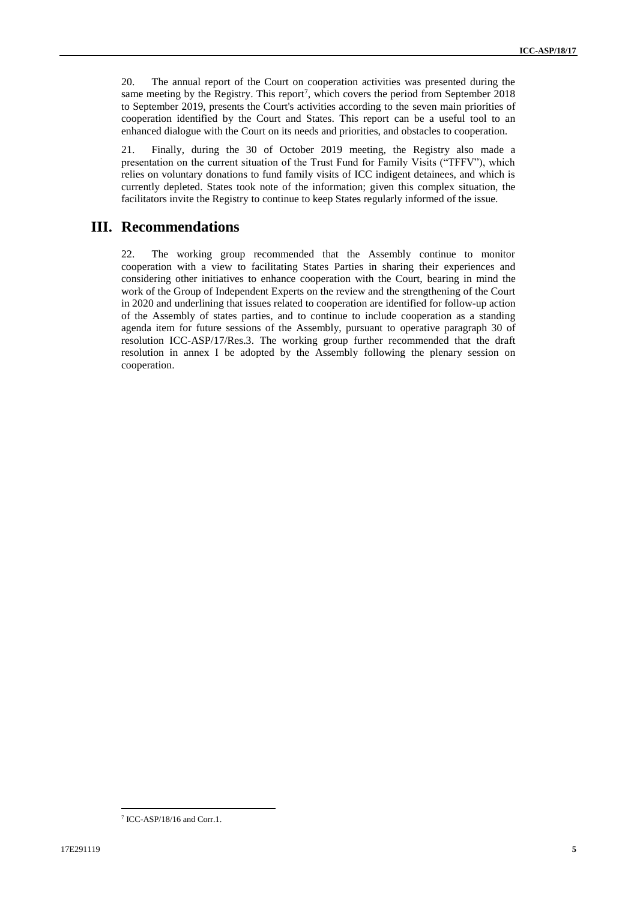20. The annual report of the Court on cooperation activities was presented during the same meeting by the Registry. This report<sup>7</sup>, which covers the period from September  $2018$ to September 2019, presents the Court's activities according to the seven main priorities of cooperation identified by the Court and States. This report can be a useful tool to an enhanced dialogue with the Court on its needs and priorities, and obstacles to cooperation.

21. Finally, during the 30 of October 2019 meeting, the Registry also made a presentation on the current situation of the Trust Fund for Family Visits ("TFFV"), which relies on voluntary donations to fund family visits of ICC indigent detainees, and which is currently depleted. States took note of the information; given this complex situation, the facilitators invite the Registry to continue to keep States regularly informed of the issue.

# **III. Recommendations**

22. The working group recommended that the Assembly continue to monitor cooperation with a view to facilitating States Parties in sharing their experiences and considering other initiatives to enhance cooperation with the Court, bearing in mind the work of the Group of Independent Experts on the review and the strengthening of the Court in 2020 and underlining that issues related to cooperation are identified for follow-up action of the Assembly of states parties, and to continue to include cooperation as a standing agenda item for future sessions of the Assembly, pursuant to operative paragraph 30 of resolution ICC-ASP/17/Res.3. The working group further recommended that the draft resolution in annex I be adopted by the Assembly following the plenary session on cooperation.

 $\overline{\phantom{a}}$ 7 ICC-ASP/18/16 and Corr.1.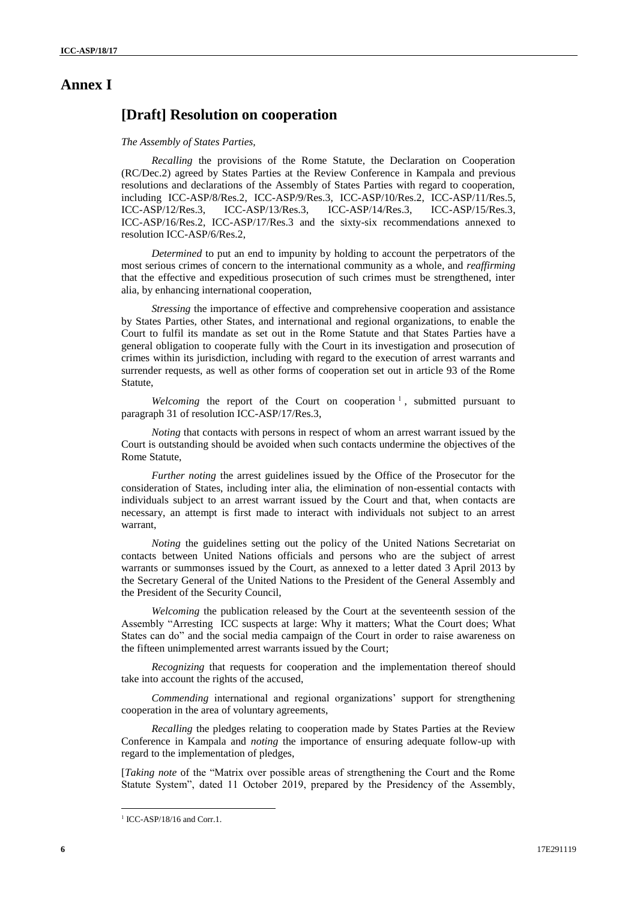# **Annex I**

# **[Draft] Resolution on cooperation**

#### *The Assembly of States Parties,*

*Recalling* the provisions of the Rome Statute, the Declaration on Cooperation (RC/Dec.2) agreed by States Parties at the Review Conference in Kampala and previous resolutions and declarations of the Assembly of States Parties with regard to cooperation, including ICC-ASP/8/Res.2, ICC-ASP/9/Res.3, ICC-ASP/10/Res.2, ICC-ASP/11/Res.5, ICC-ASP/12/Res.3, ICC-ASP/13/Res.3, ICC-ASP/14/Res.3, ICC-ASP/15/Res.3, ICC-ASP/16/Res.2, ICC-ASP/17/Res.3 and the sixty-six recommendations annexed to resolution ICC-ASP/6/Res.2,

*Determined* to put an end to impunity by holding to account the perpetrators of the most serious crimes of concern to the international community as a whole, and *reaffirming*  that the effective and expeditious prosecution of such crimes must be strengthened, inter alia, by enhancing international cooperation,

*Stressing* the importance of effective and comprehensive cooperation and assistance by States Parties, other States, and international and regional organizations, to enable the Court to fulfil its mandate as set out in the Rome Statute and that States Parties have a general obligation to cooperate fully with the Court in its investigation and prosecution of crimes within its jurisdiction, including with regard to the execution of arrest warrants and surrender requests, as well as other forms of cooperation set out in article 93 of the Rome Statute,

Welcoming the report of the Court on cooperation<sup>1</sup>, submitted pursuant to paragraph 31 of resolution ICC-ASP/17/Res.3,

*Noting* that contacts with persons in respect of whom an arrest warrant issued by the Court is outstanding should be avoided when such contacts undermine the objectives of the Rome Statute,

*Further noting* the arrest guidelines issued by the Office of the Prosecutor for the consideration of States, including inter alia, the elimination of non-essential contacts with individuals subject to an arrest warrant issued by the Court and that, when contacts are necessary, an attempt is first made to interact with individuals not subject to an arrest warrant,

*Noting* the guidelines setting out the policy of the United Nations Secretariat on contacts between United Nations officials and persons who are the subject of arrest warrants or summonses issued by the Court, as annexed to a letter dated 3 April 2013 by the Secretary General of the United Nations to the President of the General Assembly and the President of the Security Council,

*Welcoming* the publication released by the Court at the seventeenth session of the Assembly "Arresting ICC suspects at large: Why it matters; What the Court does; What States can do" and the social media campaign of the Court in order to raise awareness on the fifteen unimplemented arrest warrants issued by the Court;

*Recognizing* that requests for cooperation and the implementation thereof should take into account the rights of the accused,

*Commending* international and regional organizations' support for strengthening cooperation in the area of voluntary agreements,

*Recalling* the pledges relating to cooperation made by States Parties at the Review Conference in Kampala and *noting* the importance of ensuring adequate follow-up with regard to the implementation of pledges,

[*Taking note* of the "Matrix over possible areas of strengthening the Court and the Rome Statute System", dated 11 October 2019, prepared by the Presidency of the Assembly,

<sup>&</sup>lt;sup>1</sup> ICC-ASP/18/16 and Corr.1.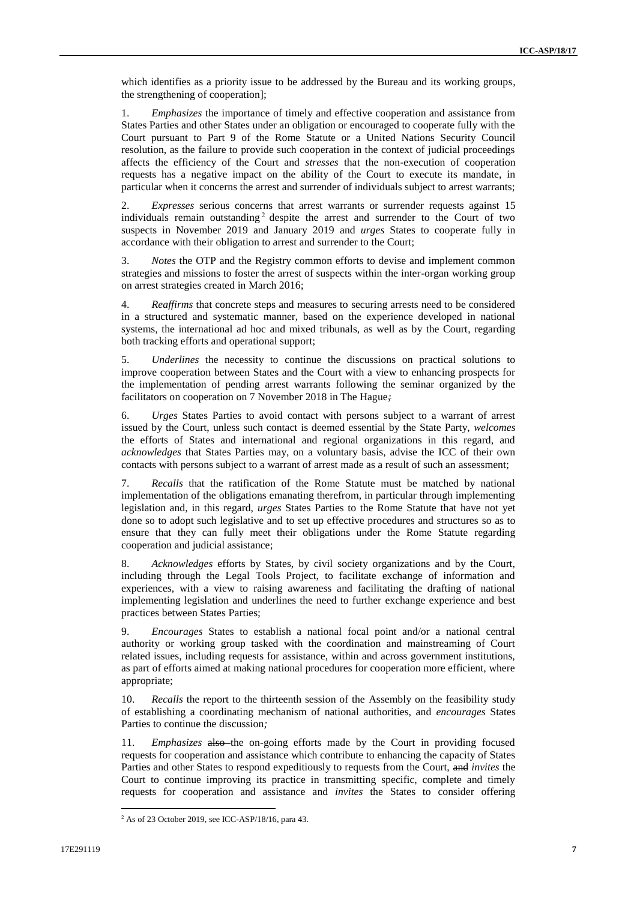which identifies as a priority issue to be addressed by the Bureau and its working groups, the strengthening of cooperation];

1. *Emphasizes* the importance of timely and effective cooperation and assistance from States Parties and other States under an obligation or encouraged to cooperate fully with the Court pursuant to Part 9 of the Rome Statute or a United Nations Security Council resolution, as the failure to provide such cooperation in the context of judicial proceedings affects the efficiency of the Court and *stresses* that the non-execution of cooperation requests has a negative impact on the ability of the Court to execute its mandate, in particular when it concerns the arrest and surrender of individuals subject to arrest warrants;

2. *Expresses* serious concerns that arrest warrants or surrender requests against 15 individuals remain outstanding  $2$  despite the arrest and surrender to the Court of two suspects in November 2019 and January 2019 and *urges* States to cooperate fully in accordance with their obligation to arrest and surrender to the Court;

*Notes* the OTP and the Registry common efforts to devise and implement common strategies and missions to foster the arrest of suspects within the inter-organ working group on arrest strategies created in March 2016;

4. *Reaffirms* that concrete steps and measures to securing arrests need to be considered in a structured and systematic manner, based on the experience developed in national systems, the international ad hoc and mixed tribunals, as well as by the Court, regarding both tracking efforts and operational support;

5. *Underlines* the necessity to continue the discussions on practical solutions to improve cooperation between States and the Court with a view to enhancing prospects for the implementation of pending arrest warrants following the seminar organized by the facilitators on cooperation on 7 November 2018 in The Hague*;*

6. *Urges* States Parties to avoid contact with persons subject to a warrant of arrest issued by the Court, unless such contact is deemed essential by the State Party, *welcomes*  the efforts of States and international and regional organizations in this regard, and *acknowledges* that States Parties may, on a voluntary basis, advise the ICC of their own contacts with persons subject to a warrant of arrest made as a result of such an assessment;

7. *Recalls* that the ratification of the Rome Statute must be matched by national implementation of the obligations emanating therefrom, in particular through implementing legislation and, in this regard, *urges* States Parties to the Rome Statute that have not yet done so to adopt such legislative and to set up effective procedures and structures so as to ensure that they can fully meet their obligations under the Rome Statute regarding cooperation and judicial assistance;

8. *Acknowledges* efforts by States, by civil society organizations and by the Court, including through the Legal Tools Project, to facilitate exchange of information and experiences, with a view to raising awareness and facilitating the drafting of national implementing legislation and underlines the need to further exchange experience and best practices between States Parties;

9. *Encourages* States to establish a national focal point and/or a national central authority or working group tasked with the coordination and mainstreaming of Court related issues, including requests for assistance, within and across government institutions, as part of efforts aimed at making national procedures for cooperation more efficient, where appropriate;

10. *Recalls* the report to the thirteenth session of the Assembly on the feasibility study of establishing a coordinating mechanism of national authorities, and *encourages* States Parties to continue the discussion*;*

11. *Emphasizes* also the on-going efforts made by the Court in providing focused requests for cooperation and assistance which contribute to enhancing the capacity of States Parties and other States to respond expeditiously to requests from the Court, and *invites* the Court to continue improving its practice in transmitting specific, complete and timely requests for cooperation and assistance and *invites* the States to consider offering

<sup>2</sup> As of 23 October 2019, see ICC-ASP/18/16, para 43.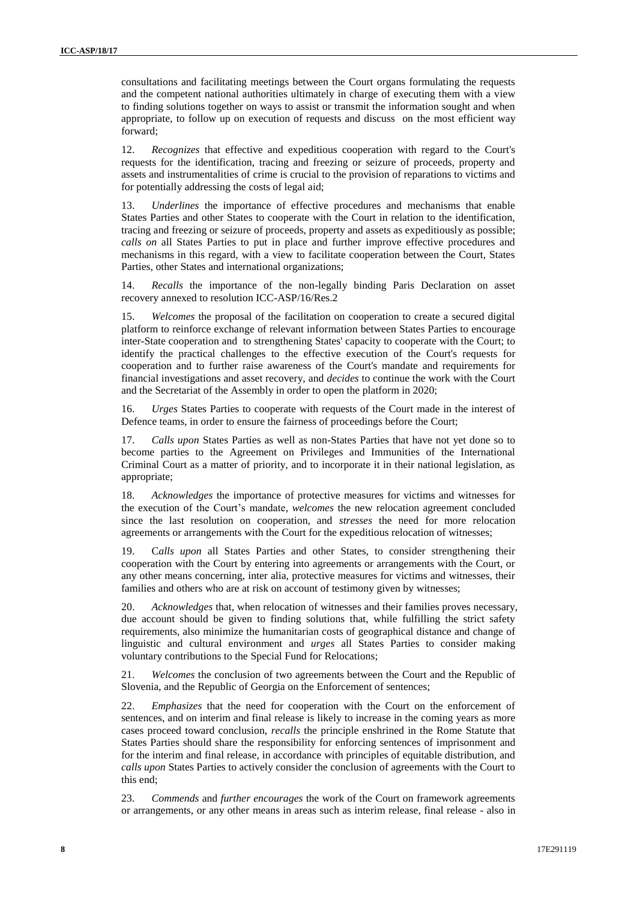consultations and facilitating meetings between the Court organs formulating the requests and the competent national authorities ultimately in charge of executing them with a view to finding solutions together on ways to assist or transmit the information sought and when appropriate, to follow up on execution of requests and discuss on the most efficient way forward;

12. *Recognizes* that effective and expeditious cooperation with regard to the Court's requests for the identification, tracing and freezing or seizure of proceeds, property and assets and instrumentalities of crime is crucial to the provision of reparations to victims and for potentially addressing the costs of legal aid;

13. *Underlines* the importance of effective procedures and mechanisms that enable States Parties and other States to cooperate with the Court in relation to the identification, tracing and freezing or seizure of proceeds, property and assets as expeditiously as possible; *calls on* all States Parties to put in place and further improve effective procedures and mechanisms in this regard, with a view to facilitate cooperation between the Court, States Parties, other States and international organizations;

14. *Recalls* the importance of the non-legally binding Paris Declaration on asset recovery annexed to resolution ICC-ASP/16/Res.2

15. *Welcomes* the proposal of the facilitation on cooperation to create a secured digital platform to reinforce exchange of relevant information between States Parties to encourage inter-State cooperation and to strengthening States' capacity to cooperate with the Court; to identify the practical challenges to the effective execution of the Court's requests for cooperation and to further raise awareness of the Court's mandate and requirements for financial investigations and asset recovery, and *decides* to continue the work with the Court and the Secretariat of the Assembly in order to open the platform in 2020;

16. *Urges* States Parties to cooperate with requests of the Court made in the interest of Defence teams, in order to ensure the fairness of proceedings before the Court;

17. *Calls upon* States Parties as well as non-States Parties that have not yet done so to become parties to the Agreement on Privileges and Immunities of the International Criminal Court as a matter of priority, and to incorporate it in their national legislation, as appropriate;

18. *Acknowledges* the importance of protective measures for victims and witnesses for the execution of the Court's mandate, *welcomes* the new relocation agreement concluded since the last resolution on cooperation, and *stresses* the need for more relocation agreements or arrangements with the Court for the expeditious relocation of witnesses;

19. C*alls upon* all States Parties and other States, to consider strengthening their cooperation with the Court by entering into agreements or arrangements with the Court, or any other means concerning, inter alia, protective measures for victims and witnesses, their families and others who are at risk on account of testimony given by witnesses;

20. *Acknowledges* that, when relocation of witnesses and their families proves necessary, due account should be given to finding solutions that, while fulfilling the strict safety requirements, also minimize the humanitarian costs of geographical distance and change of linguistic and cultural environment and *urges* all States Parties to consider making voluntary contributions to the Special Fund for Relocations;

21. *Welcomes* the conclusion of two agreements between the Court and the Republic of Slovenia, and the Republic of Georgia on the Enforcement of sentences;

22. *Emphasizes* that the need for cooperation with the Court on the enforcement of sentences, and on interim and final release is likely to increase in the coming years as more cases proceed toward conclusion, *recalls* the principle enshrined in the Rome Statute that States Parties should share the responsibility for enforcing sentences of imprisonment and for the interim and final release, in accordance with principles of equitable distribution, and *calls upon* States Parties to actively consider the conclusion of agreements with the Court to this end;

23. *Commends* and *further encourages* the work of the Court on framework agreements or arrangements, or any other means in areas such as interim release, final release - also in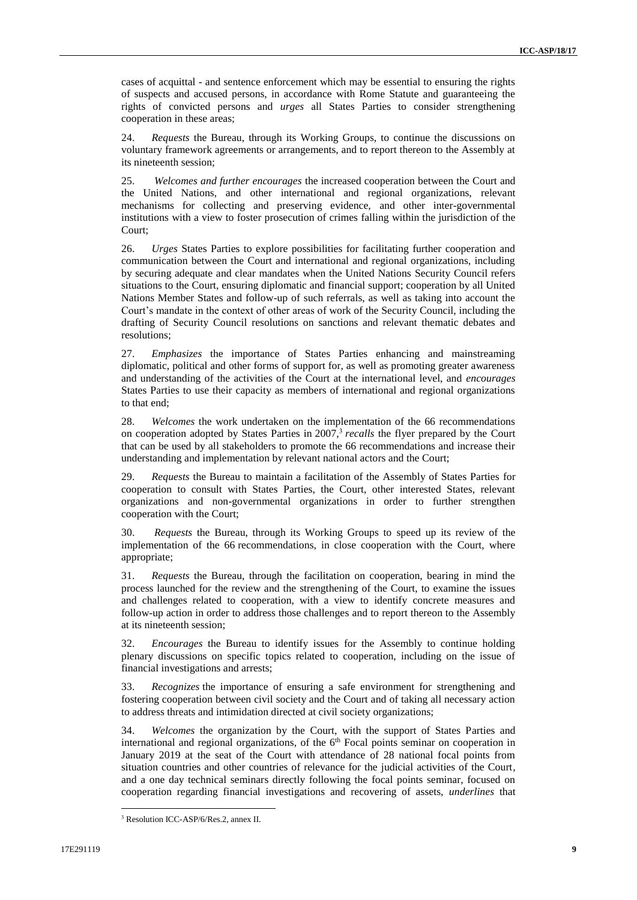cases of acquittal - and sentence enforcement which may be essential to ensuring the rights of suspects and accused persons, in accordance with Rome Statute and guaranteeing the rights of convicted persons and *urges* all States Parties to consider strengthening cooperation in these areas;

24. *Requests* the Bureau, through its Working Groups, to continue the discussions on voluntary framework agreements or arrangements, and to report thereon to the Assembly at its nineteenth session;

25. *Welcomes and further encourages* the increased cooperation between the Court and the United Nations, and other international and regional organizations, relevant mechanisms for collecting and preserving evidence, and other inter-governmental institutions with a view to foster prosecution of crimes falling within the jurisdiction of the Court;

26. *Urges* States Parties to explore possibilities for facilitating further cooperation and communication between the Court and international and regional organizations, including by securing adequate and clear mandates when the United Nations Security Council refers situations to the Court, ensuring diplomatic and financial support; cooperation by all United Nations Member States and follow-up of such referrals, as well as taking into account the Court's mandate in the context of other areas of work of the Security Council, including the drafting of Security Council resolutions on sanctions and relevant thematic debates and resolutions;

27. *Emphasizes* the importance of States Parties enhancing and mainstreaming diplomatic, political and other forms of support for, as well as promoting greater awareness and understanding of the activities of the Court at the international level, and *encourages*  States Parties to use their capacity as members of international and regional organizations to that end;

28. *Welcomes* the work undertaken on the implementation of the 66 recommendations on cooperation adopted by States Parties in 2007, 3 *recalls* the flyer prepared by the Court that can be used by all stakeholders to promote the 66 recommendations and increase their understanding and implementation by relevant national actors and the Court;

29. *Requests* the Bureau to maintain a facilitation of the Assembly of States Parties for cooperation to consult with States Parties, the Court, other interested States, relevant organizations and non-governmental organizations in order to further strengthen cooperation with the Court;

30. *Requests* the Bureau, through its Working Groups to speed up its review of the implementation of the 66 recommendations, in close cooperation with the Court, where appropriate;

31. *Requests* the Bureau, through the facilitation on cooperation, bearing in mind the process launched for the review and the strengthening of the Court, to examine the issues and challenges related to cooperation, with a view to identify concrete measures and follow-up action in order to address those challenges and to report thereon to the Assembly at its nineteenth session;

32. *Encourages* the Bureau to identify issues for the Assembly to continue holding plenary discussions on specific topics related to cooperation, including on the issue of financial investigations and arrests;

33. *Recognizes* the importance of ensuring a safe environment for strengthening and fostering cooperation between civil society and the Court and of taking all necessary action to address threats and intimidation directed at civil society organizations;

34. *Welcomes* the organization by the Court, with the support of States Parties and international and regional organizations, of the 6<sup>th</sup> Focal points seminar on cooperation in January 2019 at the seat of the Court with attendance of 28 national focal points from situation countries and other countries of relevance for the judicial activities of the Court, and a one day technical seminars directly following the focal points seminar, focused on cooperation regarding financial investigations and recovering of assets, *underlines* that

<sup>3</sup> Resolution ICC-ASP/6/Res.2, annex II.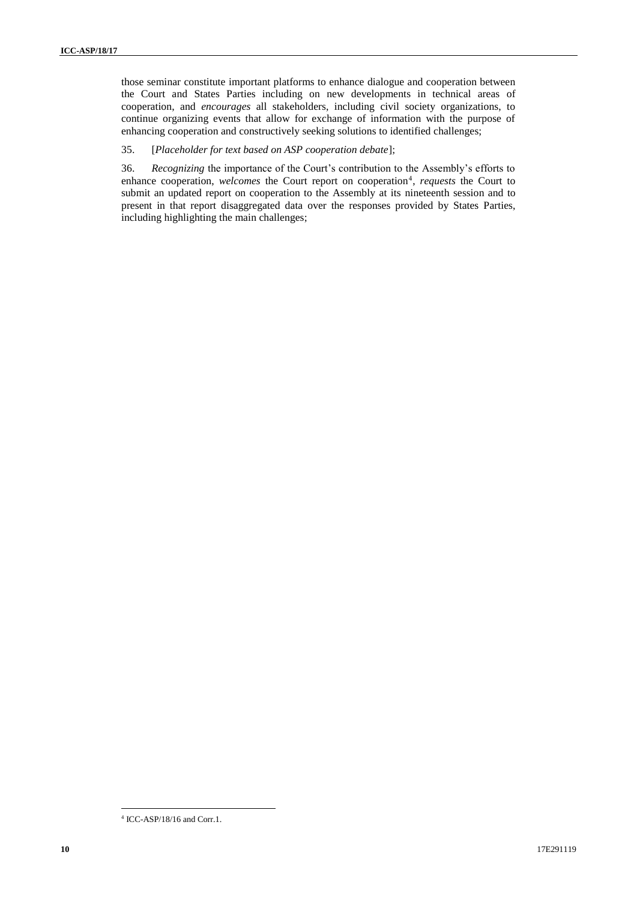those seminar constitute important platforms to enhance dialogue and cooperation between the Court and States Parties including on new developments in technical areas of cooperation, and *encourages* all stakeholders, including civil society organizations, to continue organizing events that allow for exchange of information with the purpose of enhancing cooperation and constructively seeking solutions to identified challenges;

#### 35. [*Placeholder for text based on ASP cooperation debate*];

36. *Recognizing* the importance of the Court's contribution to the Assembly's efforts to enhance cooperation, *welcomes* the Court report on cooperation<sup>4</sup>, *requests* the Court to submit an updated report on cooperation to the Assembly at its nineteenth session and to present in that report disaggregated data over the responses provided by States Parties, including highlighting the main challenges;

 $\overline{\phantom{a}}$ 4 ICC-ASP/18/16 and Corr.1.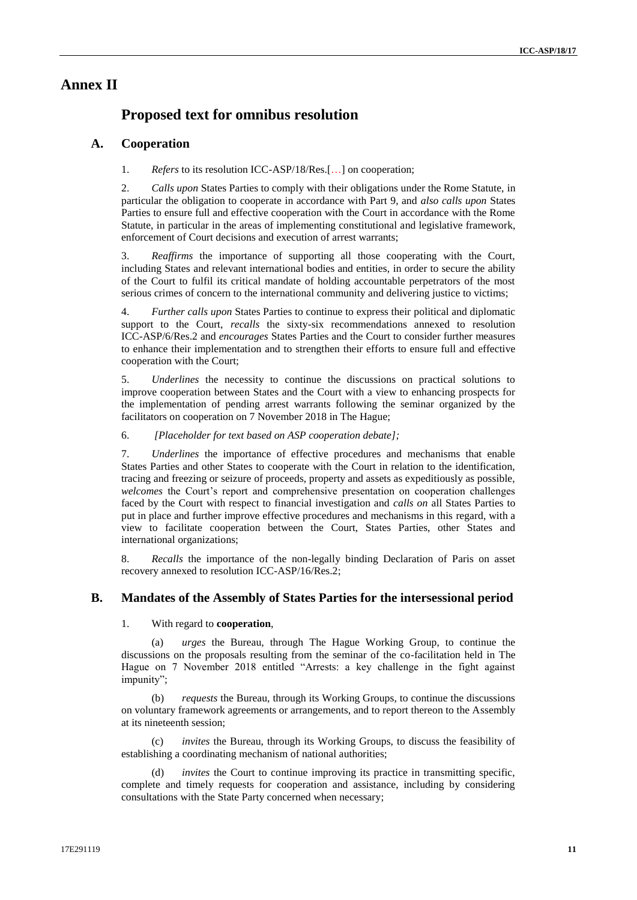# **Annex II**

# **Proposed text for omnibus resolution**

#### **A. Cooperation**

1. *Refers* to its resolution ICC-ASP/18/Res.[…] on cooperation;

2. *Calls upon* States Parties to comply with their obligations under the Rome Statute, in particular the obligation to cooperate in accordance with Part 9, and *also calls upon* States Parties to ensure full and effective cooperation with the Court in accordance with the Rome Statute, in particular in the areas of implementing constitutional and legislative framework, enforcement of Court decisions and execution of arrest warrants;

3. *Reaffirms* the importance of supporting all those cooperating with the Court, including States and relevant international bodies and entities, in order to secure the ability of the Court to fulfil its critical mandate of holding accountable perpetrators of the most serious crimes of concern to the international community and delivering justice to victims;

4. *Further calls upon* States Parties to continue to express their political and diplomatic support to the Court, *recalls* the sixty-six recommendations annexed to resolution ICC-ASP/6/Res.2 and *encourages* States Parties and the Court to consider further measures to enhance their implementation and to strengthen their efforts to ensure full and effective cooperation with the Court;

5. *Underlines* the necessity to continue the discussions on practical solutions to improve cooperation between States and the Court with a view to enhancing prospects for the implementation of pending arrest warrants following the seminar organized by the facilitators on cooperation on 7 November 2018 in The Hague;

6. *[Placeholder for text based on ASP cooperation debate];*

7. *Underlines* the importance of effective procedures and mechanisms that enable States Parties and other States to cooperate with the Court in relation to the identification, tracing and freezing or seizure of proceeds, property and assets as expeditiously as possible, *welcomes* the Court's report and comprehensive presentation on cooperation challenges faced by the Court with respect to financial investigation and *calls on* all States Parties to put in place and further improve effective procedures and mechanisms in this regard, with a view to facilitate cooperation between the Court, States Parties, other States and international organizations;

8. *Recalls* the importance of the non-legally binding Declaration of Paris on asset recovery annexed to resolution ICC-ASP/16/Res.2;

#### **B. Mandates of the Assembly of States Parties for the intersessional period**

1. With regard to **cooperation**,

(a) *urges* the Bureau, through The Hague Working Group, to continue the discussions on the proposals resulting from the seminar of the co-facilitation held in The Hague on 7 November 2018 entitled "Arrests: a key challenge in the fight against impunity";

*requests* the Bureau, through its Working Groups, to continue the discussions on voluntary framework agreements or arrangements, and to report thereon to the Assembly at its nineteenth session;

*invites* the Bureau, through its Working Groups, to discuss the feasibility of establishing a coordinating mechanism of national authorities;

(d) *invites* the Court to continue improving its practice in transmitting specific, complete and timely requests for cooperation and assistance, including by considering consultations with the State Party concerned when necessary;